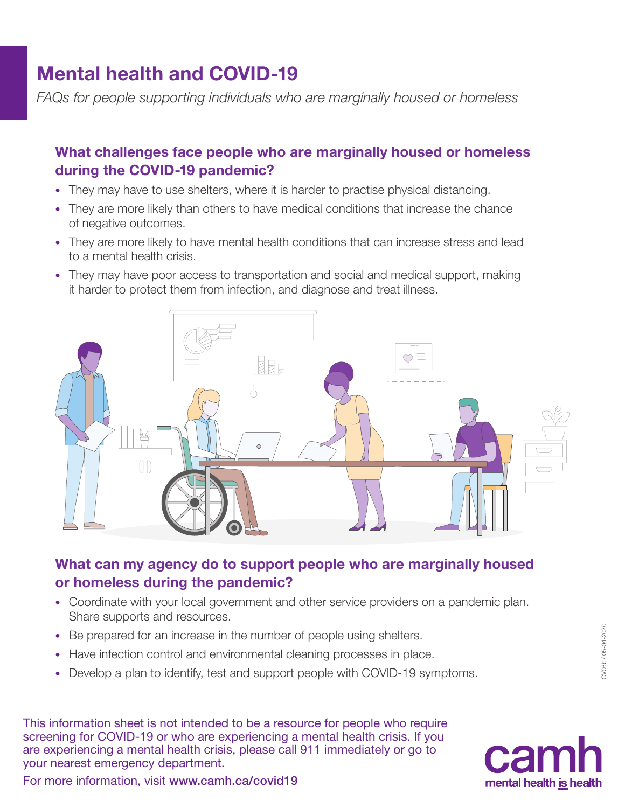# Mental health and COVID-19

*FAQs for people supporting individuals who are marginally housed or homeless*

## What challenges face people who are marginally housed or homeless during the COVID-19 pandemic?

- They may have to use shelters, where it is harder to practise physical distancing.
- They are more likely than others to have medical conditions that increase the chance of negative outcomes.
- They are more likely to have mental health conditions that can increase stress and lead to a mental health crisis.
- They may have poor access to transportation and social and medical support, making it harder to protect them from infection, and diagnose and treat illness.



# What can my agency do to support people who are marginally housed or homeless during the pandemic?

- Coordinate with your local government and other service providers on a pandemic plan. Share supports and resources.
- Be prepared for an increase in the number of people using shelters.
- Have infection control and environmental cleaning processes in place.
- Develop a plan to identify, test and support people with COVID-19 symptoms.

This information sheet is not intended to be a resource for people who require screening for COVID-19 or who are experiencing a mental health crisis. If you are experiencing a mental health crisis, please call 911 immediately or go to your nearest emergency department.



For more information, visit [www.camh.ca/covid19](http://www.camh.ca/covid19)